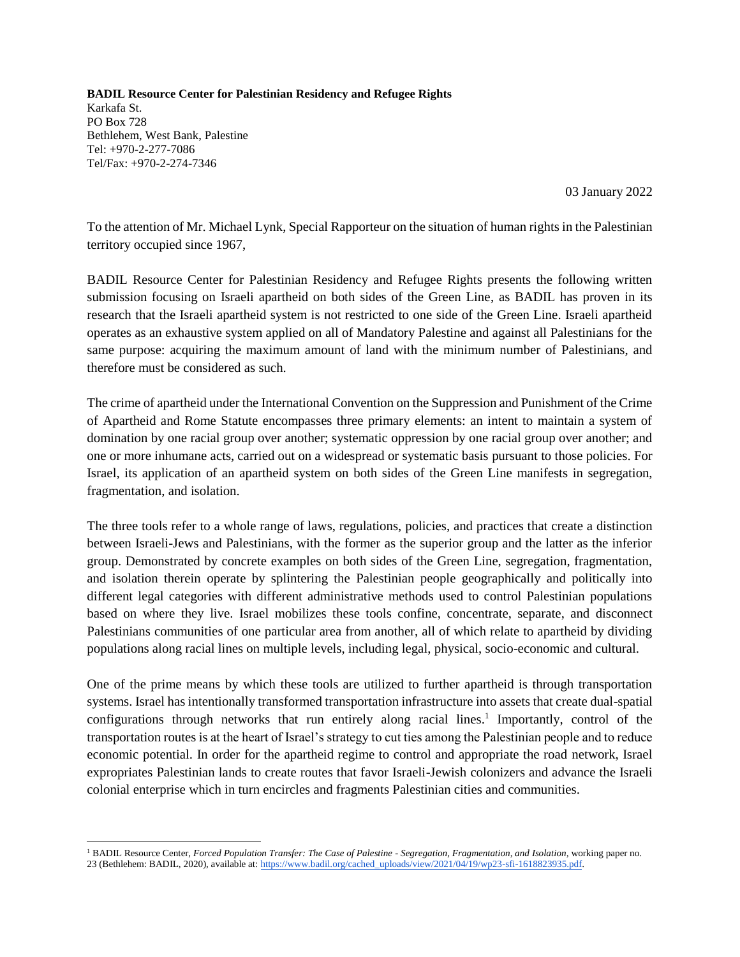**BADIL Resource Center for Palestinian Residency and Refugee Rights**  Karkafa St. PO Box 728 Bethlehem, West Bank, Palestine Tel: +970-2-277-7086 Tel/Fax: +970-2-274-7346

03 January 2022

To the attention of Mr. Michael Lynk, Special Rapporteur on the situation of human rights in the Palestinian territory occupied since 1967,

BADIL Resource Center for Palestinian Residency and Refugee Rights presents the following written submission focusing on Israeli apartheid on both sides of the Green Line, as BADIL has proven in its research that the Israeli apartheid system is not restricted to one side of the Green Line. Israeli apartheid operates as an exhaustive system applied on all of Mandatory Palestine and against all Palestinians for the same purpose: acquiring the maximum amount of land with the minimum number of Palestinians, and therefore must be considered as such.

The crime of apartheid under the International Convention on the Suppression and Punishment of the Crime of Apartheid and Rome Statute encompasses three primary elements: an intent to maintain a system of domination by one racial group over another; systematic oppression by one racial group over another; and one or more inhumane acts, carried out on a widespread or systematic basis pursuant to those policies. For Israel, its application of an apartheid system on both sides of the Green Line manifests in segregation, fragmentation, and isolation.

The three tools refer to a whole range of laws, regulations, policies, and practices that create a distinction between Israeli-Jews and Palestinians, with the former as the superior group and the latter as the inferior group. Demonstrated by concrete examples on both sides of the Green Line, segregation, fragmentation, and isolation therein operate by splintering the Palestinian people geographically and politically into different legal categories with different administrative methods used to control Palestinian populations based on where they live. Israel mobilizes these tools confine, concentrate, separate, and disconnect Palestinians communities of one particular area from another, all of which relate to apartheid by dividing populations along racial lines on multiple levels, including legal, physical, socio-economic and cultural.

One of the prime means by which these tools are utilized to further apartheid is through transportation systems. Israel has intentionally transformed transportation infrastructure into assets that create dual-spatial configurations through networks that run entirely along racial lines.<sup>1</sup> Importantly, control of the transportation routes is at the heart of Israel's strategy to cut ties among the Palestinian people and to reduce economic potential. In order for the apartheid regime to control and appropriate the road network, Israel expropriates Palestinian lands to create routes that favor Israeli-Jewish colonizers and advance the Israeli colonial enterprise which in turn encircles and fragments Palestinian cities and communities.

 $\overline{a}$ <sup>1</sup> BADIL Resource Center, *Forced Population Transfer: The Case of Palestine - Segregation, Fragmentation, and Isolation,* working paper no. 23 (Bethlehem: BADIL, 2020), available at[: https://www.badil.org/cached\\_uploads/view/2021/04/19/wp23-sfi-1618823935.pdf.](https://www.badil.org/cached_uploads/view/2021/04/19/wp23-sfi-1618823935.pdf)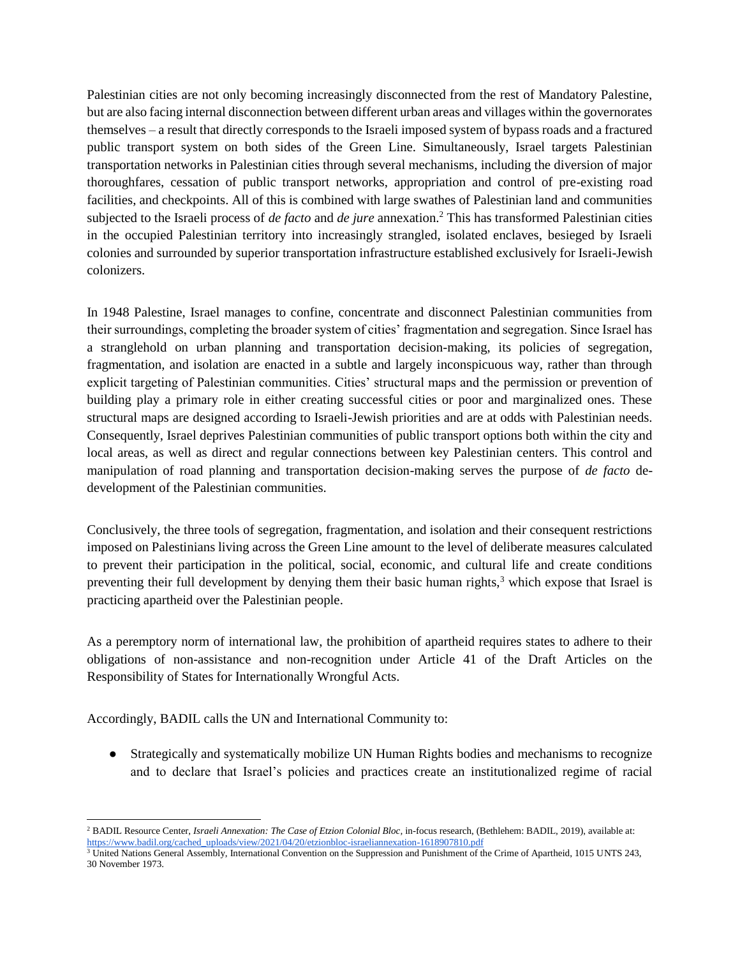Palestinian cities are not only becoming increasingly disconnected from the rest of Mandatory Palestine, but are also facing internal disconnection between different urban areas and villages within the governorates themselves – a result that directly corresponds to the Israeli imposed system of bypass roads and a fractured public transport system on both sides of the Green Line. Simultaneously, Israel targets Palestinian transportation networks in Palestinian cities through several mechanisms, including the diversion of major thoroughfares, cessation of public transport networks, appropriation and control of pre-existing road facilities, and checkpoints. All of this is combined with large swathes of Palestinian land and communities subjected to the Israeli process of *de facto* and *de jure* annexation.<sup>2</sup> This has transformed Palestinian cities in the occupied Palestinian territory into increasingly strangled, isolated enclaves, besieged by Israeli colonies and surrounded by superior transportation infrastructure established exclusively for Israeli-Jewish colonizers.

In 1948 Palestine, Israel manages to confine, concentrate and disconnect Palestinian communities from their surroundings, completing the broader system of cities' fragmentation and segregation. Since Israel has a stranglehold on urban planning and transportation decision-making, its policies of segregation, fragmentation, and isolation are enacted in a subtle and largely inconspicuous way, rather than through explicit targeting of Palestinian communities. Cities' structural maps and the permission or prevention of building play a primary role in either creating successful cities or poor and marginalized ones. These structural maps are designed according to Israeli-Jewish priorities and are at odds with Palestinian needs. Consequently, Israel deprives Palestinian communities of public transport options both within the city and local areas, as well as direct and regular connections between key Palestinian centers. This control and manipulation of road planning and transportation decision-making serves the purpose of *de facto* dedevelopment of the Palestinian communities.

Conclusively, the three tools of segregation, fragmentation, and isolation and their consequent restrictions imposed on Palestinians living across the Green Line amount to the level of deliberate measures calculated to prevent their participation in the political, social, economic, and cultural life and create conditions preventing their full development by denying them their basic human rights,<sup>3</sup> which expose that Israel is practicing apartheid over the Palestinian people.

As a peremptory norm of international law, the prohibition of apartheid requires states to adhere to their obligations of non-assistance and non-recognition under Article 41 of the Draft Articles on the Responsibility of States for Internationally Wrongful Acts.

Accordingly, BADIL calls the UN and International Community to:

 $\overline{a}$ 

● Strategically and systematically mobilize UN Human Rights bodies and mechanisms to recognize and to declare that Israel's policies and practices create an institutionalized regime of racial

<sup>&</sup>lt;sup>2</sup> BADIL Resource Center, *Israeli Annexation: The Case of Etzion Colonial Bloc*, in-focus research, (Bethlehem: BADIL, 2019), available at: [https://www.badil.org/cached\\_uploads/view/2021/04/20/etzionbloc-israeliannexation-1618907810.pdf](https://www.badil.org/cached_uploads/view/2021/04/20/etzionbloc-israeliannexation-1618907810.pdf)

 $3$  United Nations General Assembly, International Convention on the Suppression and Punishment of the Crime of Apartheid, 1015 UNTS 243, 30 November 1973.